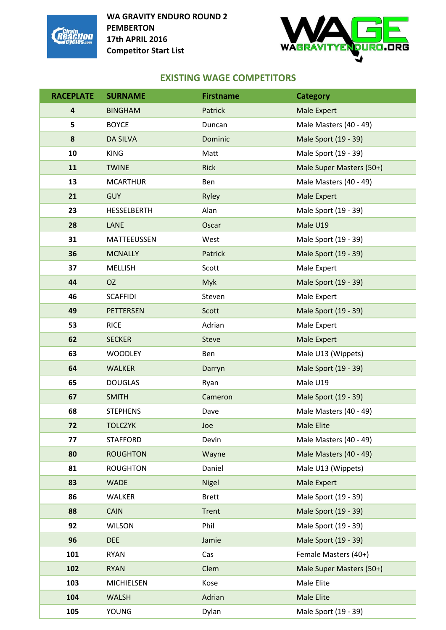



# **EXISTING WAGE COMPETITORS**

| <b>RACEPLATE</b>        | <b>SURNAME</b>    | <b>Firstname</b> | <b>Category</b>          |
|-------------------------|-------------------|------------------|--------------------------|
| $\overline{\mathbf{4}}$ | <b>BINGHAM</b>    | Patrick          | <b>Male Expert</b>       |
| 5                       | <b>BOYCE</b>      | Duncan           | Male Masters (40 - 49)   |
| $\pmb{8}$               | <b>DA SILVA</b>   | Dominic          | Male Sport (19 - 39)     |
| 10                      | <b>KING</b>       | Matt             | Male Sport (19 - 39)     |
| 11                      | <b>TWINE</b>      | <b>Rick</b>      | Male Super Masters (50+) |
| 13                      | <b>MCARTHUR</b>   | Ben              | Male Masters (40 - 49)   |
| 21                      | <b>GUY</b>        | Ryley            | Male Expert              |
| 23                      | HESSELBERTH       | Alan             | Male Sport (19 - 39)     |
| 28                      | <b>LANE</b>       | Oscar            | Male U19                 |
| 31                      | MATTEEUSSEN       | West             | Male Sport (19 - 39)     |
| 36                      | <b>MCNALLY</b>    | Patrick          | Male Sport (19 - 39)     |
| 37                      | <b>MELLISH</b>    | Scott            | Male Expert              |
| 44                      | <b>OZ</b>         | <b>Myk</b>       | Male Sport (19 - 39)     |
| 46                      | <b>SCAFFIDI</b>   | Steven           | Male Expert              |
| 49                      | <b>PETTERSEN</b>  | Scott            | Male Sport (19 - 39)     |
| 53                      | <b>RICE</b>       | Adrian           | Male Expert              |
| 62                      | <b>SECKER</b>     | <b>Steve</b>     | Male Expert              |
| 63                      | <b>WOODLEY</b>    | Ben              | Male U13 (Wippets)       |
| 64                      | <b>WALKER</b>     | Darryn           | Male Sport (19 - 39)     |
| 65                      | <b>DOUGLAS</b>    | Ryan             | Male U19                 |
| 67                      | <b>SMITH</b>      | Cameron          | Male Sport (19 - 39)     |
| 68                      | <b>STEPHENS</b>   | Dave             | Male Masters (40 - 49)   |
| 72                      | <b>TOLCZYK</b>    | Joe              | Male Elite               |
| 77                      | <b>STAFFORD</b>   | Devin            | Male Masters (40 - 49)   |
| 80                      | <b>ROUGHTON</b>   | Wayne            | Male Masters (40 - 49)   |
| 81                      | <b>ROUGHTON</b>   | Daniel           | Male U13 (Wippets)       |
| 83                      | <b>WADE</b>       | Nigel            | <b>Male Expert</b>       |
| 86                      | WALKER            | <b>Brett</b>     | Male Sport (19 - 39)     |
| 88                      | <b>CAIN</b>       | Trent            | Male Sport (19 - 39)     |
| 92                      | <b>WILSON</b>     | Phil             | Male Sport (19 - 39)     |
| 96                      | <b>DEE</b>        | Jamie            | Male Sport (19 - 39)     |
| 101                     | <b>RYAN</b>       | Cas              | Female Masters (40+)     |
| 102                     | <b>RYAN</b>       | Clem             | Male Super Masters (50+) |
| 103                     | <b>MICHIELSEN</b> | Kose             | Male Elite               |
| 104                     | <b>WALSH</b>      | Adrian           | Male Elite               |
| 105                     | <b>YOUNG</b>      | Dylan            | Male Sport (19 - 39)     |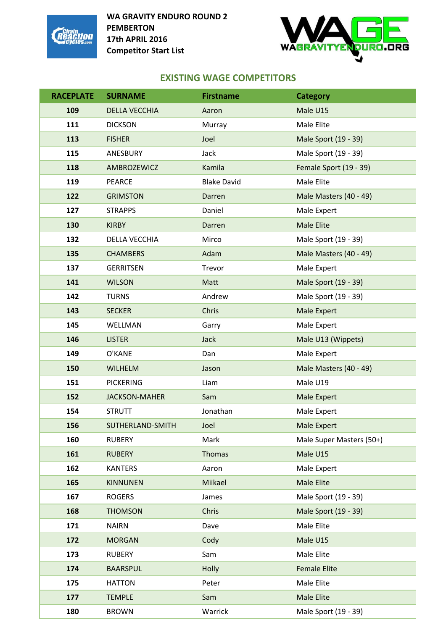



# **EXISTING WAGE COMPETITORS**

| <b>RACEPLATE</b> | <b>SURNAME</b>       | <b>Firstname</b>   | <b>Category</b>          |
|------------------|----------------------|--------------------|--------------------------|
| 109              | <b>DELLA VECCHIA</b> | Aaron              | Male U15                 |
| 111              | <b>DICKSON</b>       | Murray             | Male Elite               |
| 113              | <b>FISHER</b>        | Joel               | Male Sport (19 - 39)     |
| 115              | ANESBURY             | Jack               | Male Sport (19 - 39)     |
| 118              | AMBROZEWICZ          | Kamila             | Female Sport (19 - 39)   |
| 119              | <b>PEARCE</b>        | <b>Blake David</b> | Male Elite               |
| 122              | <b>GRIMSTON</b>      | Darren             | Male Masters (40 - 49)   |
| 127              | <b>STRAPPS</b>       | Daniel             | Male Expert              |
| 130              | <b>KIRBY</b>         | Darren             | <b>Male Elite</b>        |
| 132              | DELLA VECCHIA        | Mirco              | Male Sport (19 - 39)     |
| 135              | <b>CHAMBERS</b>      | Adam               | Male Masters (40 - 49)   |
| 137              | <b>GERRITSEN</b>     | Trevor             | Male Expert              |
| 141              | <b>WILSON</b>        | Matt               | Male Sport (19 - 39)     |
| 142              | <b>TURNS</b>         | Andrew             | Male Sport (19 - 39)     |
| 143              | <b>SECKER</b>        | Chris              | <b>Male Expert</b>       |
| 145              | WELLMAN              | Garry              | Male Expert              |
| 146              | <b>LISTER</b>        | <b>Jack</b>        | Male U13 (Wippets)       |
| 149              | O'KANE               | Dan                | Male Expert              |
| 150              | <b>WILHELM</b>       | Jason              | Male Masters (40 - 49)   |
| 151              | <b>PICKERING</b>     | Liam               | Male U19                 |
| 152              | <b>JACKSON-MAHER</b> | Sam                | <b>Male Expert</b>       |
| 154              | <b>STRUTT</b>        | Jonathan           | Male Expert              |
| 156              | SUTHERLAND-SMITH     | Joel               | <b>Male Expert</b>       |
| 160              | <b>RUBERY</b>        | Mark               | Male Super Masters (50+) |
| 161              | <b>RUBERY</b>        | <b>Thomas</b>      | Male U15                 |
| 162              | <b>KANTERS</b>       | Aaron              | Male Expert              |
| 165              | <b>KINNUNEN</b>      | Miikael            | <b>Male Elite</b>        |
| 167              | <b>ROGERS</b>        | James              | Male Sport (19 - 39)     |
| 168              | <b>THOMSON</b>       | Chris              | Male Sport (19 - 39)     |
| 171              | <b>NAIRN</b>         | Dave               | Male Elite               |
| 172              | <b>MORGAN</b>        | Cody               | Male U15                 |
| 173              | <b>RUBERY</b>        | Sam                | Male Elite               |
| 174              | <b>BAARSPUL</b>      | Holly              | <b>Female Elite</b>      |
| 175              | <b>HATTON</b>        | Peter              | Male Elite               |
| 177              | <b>TEMPLE</b>        | Sam                | <b>Male Elite</b>        |
| 180              | <b>BROWN</b>         | Warrick            | Male Sport (19 - 39)     |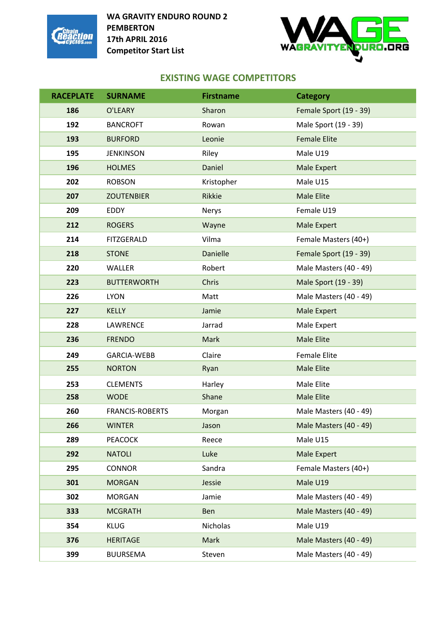



# **EXISTING WAGE COMPETITORS**

| <b>RACEPLATE</b> | <b>SURNAME</b>         | <b>Firstname</b> | <b>Category</b>        |
|------------------|------------------------|------------------|------------------------|
| 186              | O'LEARY                | Sharon           | Female Sport (19 - 39) |
| 192              | <b>BANCROFT</b>        | Rowan            | Male Sport (19 - 39)   |
| 193              | <b>BURFORD</b>         | Leonie           | <b>Female Elite</b>    |
| 195              | <b>JENKINSON</b>       | Riley            | Male U19               |
| 196              | <b>HOLMES</b>          | Daniel           | Male Expert            |
| 202              | <b>ROBSON</b>          | Kristopher       | Male U15               |
| 207              | <b>ZOUTENBIER</b>      | Rikkie           | <b>Male Elite</b>      |
| 209              | EDDY                   | Nerys            | Female U19             |
| 212              | <b>ROGERS</b>          | Wayne            | Male Expert            |
| 214              | <b>FITZGERALD</b>      | Vilma            | Female Masters (40+)   |
| 218              | <b>STONE</b>           | <b>Danielle</b>  | Female Sport (19 - 39) |
| 220              | <b>WALLER</b>          | Robert           | Male Masters (40 - 49) |
| 223              | <b>BUTTERWORTH</b>     | Chris            | Male Sport (19 - 39)   |
| 226              | <b>LYON</b>            | Matt             | Male Masters (40 - 49) |
| 227              | <b>KELLY</b>           | Jamie            | <b>Male Expert</b>     |
| 228              | LAWRENCE               | Jarrad           | Male Expert            |
| 236              | <b>FRENDO</b>          | Mark             | <b>Male Elite</b>      |
| 249              | <b>GARCIA-WEBB</b>     | Claire           | <b>Female Elite</b>    |
| 255              | <b>NORTON</b>          | Ryan             | <b>Male Elite</b>      |
| 253              | <b>CLEMENTS</b>        | Harley           | Male Elite             |
| 258              | <b>WODE</b>            | Shane            | <b>Male Elite</b>      |
| 260              | <b>FRANCIS-ROBERTS</b> | Morgan           | Male Masters (40 - 49) |
| 266              | <b>WINTER</b>          | Jason            | Male Masters (40 - 49) |
| 289              | <b>PEACOCK</b>         | Reece            | Male U15               |
| 292              | <b>NATOLI</b>          | Luke             | Male Expert            |
| 295              | <b>CONNOR</b>          | Sandra           | Female Masters (40+)   |
| 301              | <b>MORGAN</b>          | Jessie           | Male U19               |
| 302              | <b>MORGAN</b>          | Jamie            | Male Masters (40 - 49) |
| 333              | <b>MCGRATH</b>         | Ben              | Male Masters (40 - 49) |
| 354              | <b>KLUG</b>            | Nicholas         | Male U19               |
| 376              | <b>HERITAGE</b>        | Mark             | Male Masters (40 - 49) |
| 399              | <b>BUURSEMA</b>        | Steven           | Male Masters (40 - 49) |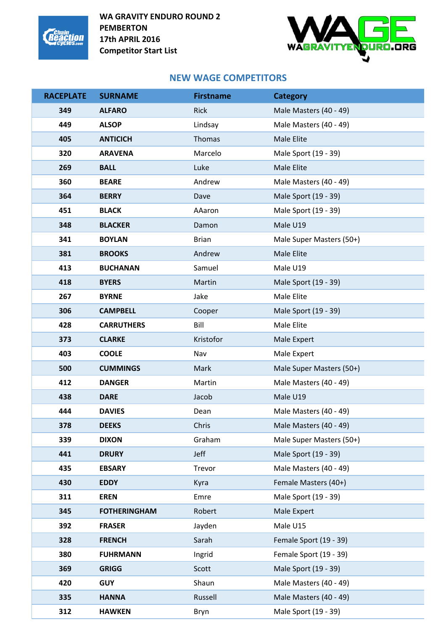



#### **NEW WAGE COMPETITORS**

| <b>RACEPLATE</b> | <b>SURNAME</b>      | <b>Firstname</b> | <b>Category</b>          |
|------------------|---------------------|------------------|--------------------------|
| 349              | <b>ALFARO</b>       | <b>Rick</b>      | Male Masters (40 - 49)   |
| 449              | <b>ALSOP</b>        | Lindsay          | Male Masters (40 - 49)   |
| 405              | <b>ANTICICH</b>     | Thomas           | Male Elite               |
| 320              | <b>ARAVENA</b>      | Marcelo          | Male Sport (19 - 39)     |
| 269              | <b>BALL</b>         | Luke             | Male Elite               |
| 360              | <b>BEARE</b>        | Andrew           | Male Masters (40 - 49)   |
| 364              | <b>BERRY</b>        | Dave             | Male Sport (19 - 39)     |
| 451              | <b>BLACK</b>        | AAaron           | Male Sport (19 - 39)     |
| 348              | <b>BLACKER</b>      | Damon            | Male U19                 |
| 341              | <b>BOYLAN</b>       | <b>Brian</b>     | Male Super Masters (50+) |
| 381              | <b>BROOKS</b>       | Andrew           | Male Elite               |
| 413              | <b>BUCHANAN</b>     | Samuel           | Male U19                 |
| 418              | <b>BYERS</b>        | Martin           | Male Sport (19 - 39)     |
| 267              | <b>BYRNE</b>        | Jake             | Male Elite               |
| 306              | <b>CAMPBELL</b>     | Cooper           | Male Sport (19 - 39)     |
| 428              | <b>CARRUTHERS</b>   | Bill             | Male Elite               |
| 373              | <b>CLARKE</b>       | Kristofor        | Male Expert              |
| 403              | <b>COOLE</b>        | Nav              | Male Expert              |
| 500              | <b>CUMMINGS</b>     | Mark             | Male Super Masters (50+) |
| 412              | <b>DANGER</b>       | Martin           | Male Masters (40 - 49)   |
| 438              | <b>DARE</b>         | Jacob            | Male U19                 |
| 444              | <b>DAVIES</b>       | Dean             | Male Masters (40 - 49)   |
| 378              | <b>DEEKS</b>        | Chris            | Male Masters (40 - 49)   |
| 339              | <b>DIXON</b>        | Graham           | Male Super Masters (50+) |
| 441              | <b>DRURY</b>        | Jeff             | Male Sport (19 - 39)     |
| 435              | <b>EBSARY</b>       | Trevor           | Male Masters (40 - 49)   |
| 430              | <b>EDDY</b>         | Kyra             | Female Masters (40+)     |
| 311              | <b>EREN</b>         | Emre             | Male Sport (19 - 39)     |
| 345              | <b>FOTHERINGHAM</b> | Robert           | Male Expert              |
| 392              | <b>FRASER</b>       | Jayden           | Male U15                 |
| 328              | <b>FRENCH</b>       | Sarah            | Female Sport (19 - 39)   |
| 380              | <b>FUHRMANN</b>     | Ingrid           | Female Sport (19 - 39)   |
| 369              | <b>GRIGG</b>        | Scott            | Male Sport (19 - 39)     |
| 420              | <b>GUY</b>          | Shaun            | Male Masters (40 - 49)   |
| 335              | <b>HANNA</b>        | Russell          | Male Masters (40 - 49)   |
| 312              | <b>HAWKEN</b>       | Bryn             | Male Sport (19 - 39)     |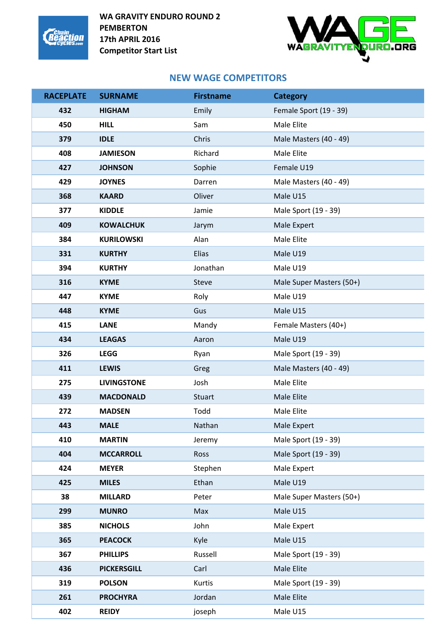



## **NEW WAGE COMPETITORS**

| <b>RACEPLATE</b> | <b>SURNAME</b>     | <b>Firstname</b> | <b>Category</b>          |
|------------------|--------------------|------------------|--------------------------|
| 432              | <b>HIGHAM</b>      | Emily            | Female Sport (19 - 39)   |
| 450              | <b>HILL</b>        | Sam              | Male Elite               |
| 379              | <b>IDLE</b>        | Chris            | Male Masters (40 - 49)   |
| 408              | <b>JAMIESON</b>    | Richard          | Male Elite               |
| 427              | <b>JOHNSON</b>     | Sophie           | Female U19               |
| 429              | <b>JOYNES</b>      | Darren           | Male Masters (40 - 49)   |
| 368              | <b>KAARD</b>       | Oliver           | Male U15                 |
| 377              | <b>KIDDLE</b>      | Jamie            | Male Sport (19 - 39)     |
| 409              | <b>KOWALCHUK</b>   | Jarym            | Male Expert              |
| 384              | <b>KURILOWSKI</b>  | Alan             | Male Elite               |
| 331              | <b>KURTHY</b>      | Elias            | Male U19                 |
| 394              | <b>KURTHY</b>      | Jonathan         | Male U19                 |
| 316              | <b>KYME</b>        | <b>Steve</b>     | Male Super Masters (50+) |
| 447              | <b>KYME</b>        | Roly             | Male U19                 |
| 448              | <b>KYME</b>        | Gus              | Male U15                 |
| 415              | <b>LANE</b>        | Mandy            | Female Masters (40+)     |
| 434              | <b>LEAGAS</b>      | Aaron            | Male U19                 |
| 326              | <b>LEGG</b>        | Ryan             | Male Sport (19 - 39)     |
| 411              | <b>LEWIS</b>       | Greg             | Male Masters (40 - 49)   |
| 275              | <b>LIVINGSTONE</b> | Josh             | Male Elite               |
| 439              | <b>MACDONALD</b>   | Stuart           | Male Elite               |
| 272              | <b>MADSEN</b>      | Todd             | Male Elite               |
| 443              | <b>MALE</b>        | Nathan           | Male Expert              |
| 410              | <b>MARTIN</b>      | Jeremy           | Male Sport (19 - 39)     |
| 404              | <b>MCCARROLL</b>   | Ross             | Male Sport (19 - 39)     |
| 424              | <b>MEYER</b>       | Stephen          | Male Expert              |
| 425              | <b>MILES</b>       | Ethan            | Male U19                 |
| 38               | <b>MILLARD</b>     | Peter            | Male Super Masters (50+) |
| 299              | <b>MUNRO</b>       | Max              | Male U15                 |
| 385              | <b>NICHOLS</b>     | John             | Male Expert              |
| 365              | <b>PEACOCK</b>     | Kyle             | Male U15                 |
| 367              | <b>PHILLIPS</b>    | Russell          | Male Sport (19 - 39)     |
| 436              | <b>PICKERSGILL</b> | Carl             | Male Elite               |
| 319              | <b>POLSON</b>      | Kurtis           | Male Sport (19 - 39)     |
| 261              | <b>PROCHYRA</b>    | Jordan           | Male Elite               |
| 402              | <b>REIDY</b>       | joseph           | Male U15                 |